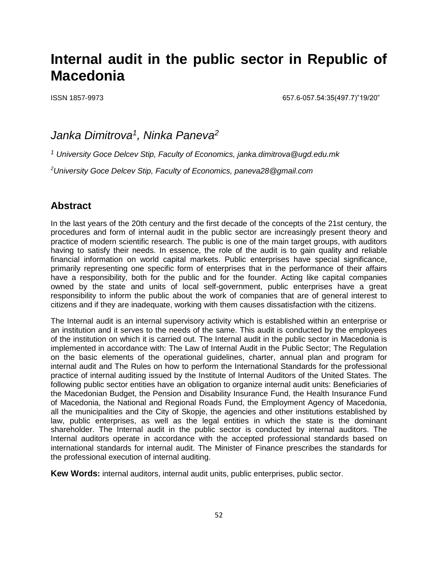# **Internal audit in the public sector in Republic of Macedonia**

ISSN 1857-9973 657.6-057.54:35(497.7)"19/20"

# *Janka Dimitrova<sup>1</sup> , Ninka Paneva<sup>2</sup>*

*<sup>1</sup> University Goce Delcev Stip, Faculty of Economics, [janka.dimitrova@ugd.edu.mk](mailto:olivera.trajkovska@ugd.edu.mk)*

*<sup>2</sup>University Goce Delcev Stip, Faculty of Economics, [paneva28@gmail.com](mailto:vesna@ek-inst.ukim.edu.mk)*

# **Abstract**

In the last years of the 20th century and the first decade of the concepts of the 21st century, the procedures and form of internal audit in the public sector are increasingly present theory and practice of modern scientific research. The public is one of the main target groups, with auditors having to satisfy their needs. In essence, the role of the audit is to gain quality and reliable financial information on world capital markets. Public enterprises have special significance, primarily representing one specific form of enterprises that in the performance of their affairs have a responsibility, both for the public and for the founder. Acting like capital companies owned by the state and units of local self-government, public enterprises have a great responsibility to inform the public about the work of companies that are of general interest to citizens and if they are inadequate, working with them causes dissatisfaction with the citizens.

The Internal audit is an internal supervisory activity which is established within an enterprise or an institution and it serves to the needs of the same. This audit is conducted by the employees of the institution on which it is carried out. The Internal audit in the public sector in Macedonia is implemented in accordance with: The Law of Internal Audit in the Public Sector; The Regulation on the basic elements of the operational guidelines, charter, annual plan and program for internal audit and The Rules on how to perform the International Standards for the professional practice of internal auditing issued by the Institute of Internal Auditors of the United States. The following public sector entities have an obligation to organize internal audit units: Beneficiaries of the Macedonian Budget, the Pension and Disability Insurance Fund, the Health Insurance Fund of Macedonia, the National and Regional Roads Fund, the Employment Agency of Macedonia, all the municipalities and the City of Skopje, the agencies and other institutions established by law, public enterprises, as well as the legal entities in which the state is the dominant shareholder. The Internal audit in the public sector is conducted by internal auditors. The Internal auditors operate in accordance with the accepted professional standards based on international standards for internal audit. The Minister of Finance prescribes the standards for the professional execution of internal auditing.

**Kew Words:** internal auditors, internal audit units, public enterprises, public sector.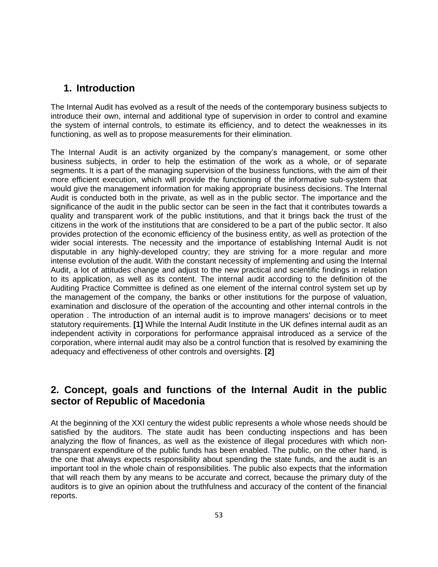#### **1. Introduction**

The Internal Audit has evolved as a result of the needs of the contemporary business subjects to introduce their own, internal and additional type of supervision in order to control and examine the system of internal controls, to estimate its efficiency, and to detect the weaknesses in its functioning, as well as to propose measurements for their elimination.

The Internal Audit is an activity organized by the company's management, or some other business subjects, in order to help the estimation of the work as a whole, or of separate segments. It is a part of the managing supervision of the business functions, with the aim of their more efficient execution, which will provide the functioning of the informative sub-system that would give the management information for making appropriate business decisions. The Internal Audit is conducted both in the private, as well as in the public sector. The importance and the significance of the audit in the public sector can be seen in the fact that it contributes towards a quality and transparent work of the public institutions, and that it brings back the trust of the citizens in the work of the institutions that are considered to be a part of the public sector. It also provides protection of the economic efficiency of the business entity, as well as protection of the wider social interests. The necessity and the importance of establishing Internal Audit is not disputable in any highly-developed country; they are striving for a more regular and more intense evolution of the audit. With the constant necessity of implementing and using the Internal Audit, a lot of attitudes change and adjust to the new practical and scientific findings in relation to its application, as well as its content. The internal audit according to the definition of the Auditing Practice Committee is defined as one element of the internal control system set up by the management of the company, the banks or other institutions for the purpose of valuation, examination and disclosure of the operation of the accounting and other internal controls in the operation . The introduction of an internal audit is to improve managers' decisions or to meet statutory requirements. **[1]** While the Internal Audit Institute in the UK defines internal audit as an independent activity in corporations for performance appraisal introduced as a service of the corporation, where internal audit may also be a control function that is resolved by examining the adequacy and effectiveness of other controls and oversights. **[2]**

# **2. Concept, goals and functions of the Internal Audit in the public sector of Republic of Macedonia**

At the beginning of the XXI century the widest public represents a whole whose needs should be satisfied by the auditors. The state audit has been conducting inspections and has been analyzing the flow of finances, as well as the existence of illegal procedures with which nontransparent expenditure of the public funds has been enabled. The public, on the other hand, is the one that always expects responsibility about spending the state funds, and the audit is an important tool in the whole chain of responsibilities. The public also expects that the information that will reach them by any means to be accurate and correct, because the primary duty of the auditors is to give an opinion about the truthfulness and accuracy of the content of the financial reports.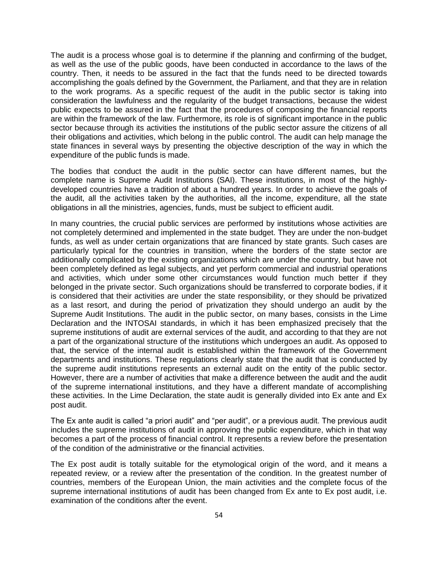The audit is a process whose goal is to determine if the planning and confirming of the budget, as well as the use of the public goods, have been conducted in accordance to the laws of the country. Then, it needs to be assured in the fact that the funds need to be directed towards accomplishing the goals defined by the Government, the Parliament, and that they are in relation to the work programs. As a specific request of the audit in the public sector is taking into consideration the lawfulness and the regularity of the budget transactions, because the widest public expects to be assured in the fact that the procedures of composing the financial reports are within the framework of the law. Furthermore, its role is of significant importance in the public sector because through its activities the institutions of the public sector assure the citizens of all their obligations and activities, which belong in the public control. The audit can help manage the state finances in several ways by presenting the objective description of the way in which the expenditure of the public funds is made.

The bodies that conduct the audit in the public sector can have different names, but the complete name is Supreme Audit Institutions (SAI). These institutions, in most of the highlydeveloped countries have a tradition of about a hundred years. In order to achieve the goals of the audit, all the activities taken by the authorities, all the income, expenditure, all the state obligations in all the ministries, agencies, funds, must be subject to efficient audit.

In many countries, the crucial public services are performed by institutions whose activities are not completely determined and implemented in the state budget. They are under the non-budget funds, as well as under certain organizations that are financed by state grants. Such cases are particularly typical for the countries in transition, where the borders of the state sector are additionally complicated by the existing organizations which are under the country, but have not been completely defined as legal subjects, and yet perform commercial and industrial operations and activities, which under some other circumstances would function much better if they belonged in the private sector. Such organizations should be transferred to corporate bodies, if it is considered that their activities are under the state responsibility, or they should be privatized as a last resort, and during the period of privatization they should undergo an audit by the Supreme Audit Institutions. The audit in the public sector, on many bases, consists in the Lime Declaration and the INTOSAI standards, in which it has been emphasized precisely that the supreme institutions of audit are external services of the audit, and according to that they are not a part of the organizational structure of the institutions which undergoes an audit. As opposed to that, the service of the internal audit is established within the framework of the Government departments and institutions. These regulations clearly state that the audit that is conducted by the supreme audit institutions represents an external audit on the entity of the public sector. However, there are a number of activities that make a difference between the audit and the audit of the supreme international institutions, and they have a different mandate of accomplishing these activities. In the Lime Declaration, the state audit is generally divided into Ex ante and Ex post audit.

The Ex ante audit is called "a priori audit" and "per audit", or a previous audit. The previous audit includes the supreme institutions of audit in approving the public expenditure, which in that way becomes a part of the process of financial control. It represents a review before the presentation of the condition of the administrative or the financial activities.

The Ex post audit is totally suitable for the etymological origin of the word, and it means a repeated review, or a review after the presentation of the condition. In the greatest number of countries, members of the European Union, the main activities and the complete focus of the supreme international institutions of audit has been changed from Ex ante to Ex post audit, i.e. examination of the conditions after the event.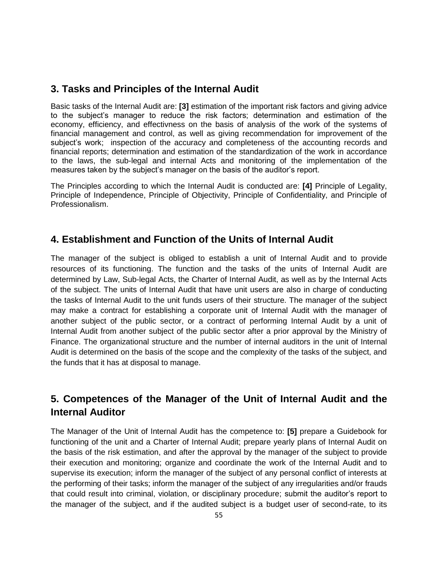### **3. Tasks and Principles of the Internal Audit**

Basic tasks of the Internal Audit are: **[3]** estimation of the important risk factors and giving advice to the subject's manager to reduce the risk factors; determination and estimation of the economy, efficiency, and effectivness on the basis of analysis of the work of the systems of financial management and control, as well as giving recommendation for improvement of the subject's work; inspection of the accuracy and completeness of the accounting records and financial reports; determination and estimation of the standardization of the work in accordance to the laws, the sub-legal and internal Acts and monitoring of the implementation of the measures taken by the subject's manager on the basis of the auditor's report.

The Principles according to which the Internal Audit is conducted are: **[4]** Principle of Legality, Principle of Independence, Principle of Objectivity, Principle of Confidentiality, and Principle of Professionalism.

# **4. Establishment and Function of the Units of Internal Audit**

The manager of the subject is obliged to establish a unit of Internal Audit and to provide resources of its functioning. The function and the tasks of the units of Internal Audit are determined by Law, Sub-legal Acts, the Charter of Internal Audit, as well as by the Internal Acts of the subject. The units of Internal Audit that have unit users are also in charge of conducting the tasks of Internal Audit to the unit funds users of their structure. The manager of the subject may make a contract for establishing a corporate unit of Internal Audit with the manager of another subject of the public sector, or a contract of performing Internal Audit by a unit of Internal Audit from another subject of the public sector after a prior approval by the Ministry of Finance. The organizational structure and the number of internal auditors in the unit of Internal Audit is determined on the basis of the scope and the complexity of the tasks of the subject, and the funds that it has at disposal to manage.

# **5. Competences of the Manager of the Unit of Internal Audit and the Internal Auditor**

The Manager of the Unit of Internal Audit has the competence to: **[5]** prepare a Guidebook for functioning of the unit and a Charter of Internal Audit; prepare yearly plans of Internal Audit on the basis of the risk estimation, and after the approval by the manager of the subject to provide their execution and monitoring; organize and coordinate the work of the Internal Audit and to supervise its execution; inform the manager of the subject of any personal conflict of interests at the performing of their tasks; inform the manager of the subject of any irregularities and/or frauds that could result into criminal, violation, or disciplinary procedure; submit the auditor's report to the manager of the subject, and if the audited subject is a budget user of second-rate, to its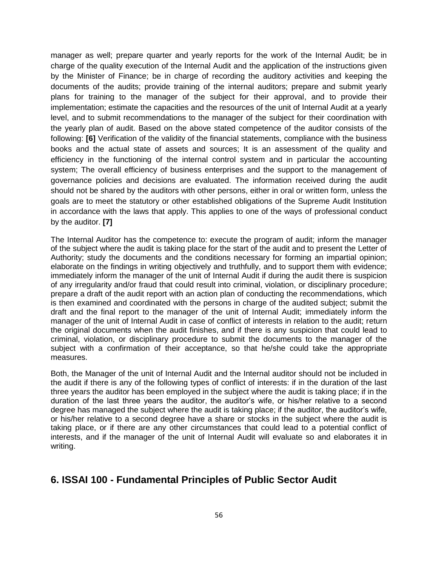manager as well; prepare quarter and yearly reports for the work of the Internal Audit; be in charge of the quality execution of the Internal Audit and the application of the instructions given by the Minister of Finance; be in charge of recording the auditory activities and keeping the documents of the audits; provide training of the internal auditors; prepare and submit yearly plans for training to the manager of the subject for their approval, and to provide their implementation; estimate the capacities and the resources of the unit of Internal Audit at a yearly level, and to submit recommendations to the manager of the subject for their coordination with the yearly plan of audit. Based on the above stated competence of the auditor consists of the following: **[6]** Verification of the validity of the financial statements, compliance with the business books and the actual state of assets and sources; It is an assessment of the quality and efficiency in the functioning of the internal control system and in particular the accounting system; The overall efficiency of business enterprises and the support to the management of governance policies and decisions are evaluated. The information received during the audit should not be shared by the auditors with other persons, either in oral or written form, unless the goals are to meet the statutory or other established obligations of the Supreme Audit Institution in accordance with the laws that apply. This applies to one of the ways of professional conduct by the auditor. **[7]**

The Internal Auditor has the competence to: execute the program of audit; inform the manager of the subject where the audit is taking place for the start of the audit and to present the Letter of Authority; study the documents and the conditions necessary for forming an impartial opinion; elaborate on the findings in writing objectively and truthfully, and to support them with evidence; immediately inform the manager of the unit of Internal Audit if during the audit there is suspicion of any irregularity and/or fraud that could result into criminal, violation, or disciplinary procedure; prepare a draft of the audit report with an action plan of conducting the recommendations, which is then examined and coordinated with the persons in charge of the audited subject; submit the draft and the final report to the manager of the unit of Internal Audit; immediately inform the manager of the unit of Internal Audit in case of conflict of interests in relation to the audit; return the original documents when the audit finishes, and if there is any suspicion that could lead to criminal, violation, or disciplinary procedure to submit the documents to the manager of the subject with a confirmation of their acceptance, so that he/she could take the appropriate measures.

Both, the Manager of the unit of Internal Audit and the Internal auditor should not be included in the audit if there is any of the following types of conflict of interests: if in the duration of the last three years the auditor has been employed in the subject where the audit is taking place; if in the duration of the last three years the auditor, the auditor's wife, or his/her relative to a second degree has managed the subject where the audit is taking place; if the auditor, the auditor's wife, or his/her relative to a second degree have a share or stocks in the subject where the audit is taking place, or if there are any other circumstances that could lead to a potential conflict of interests, and if the manager of the unit of Internal Audit will evaluate so and elaborates it in writing.

# **6. ISSAI 100 - Fundamental Principles of Public Sector Audit**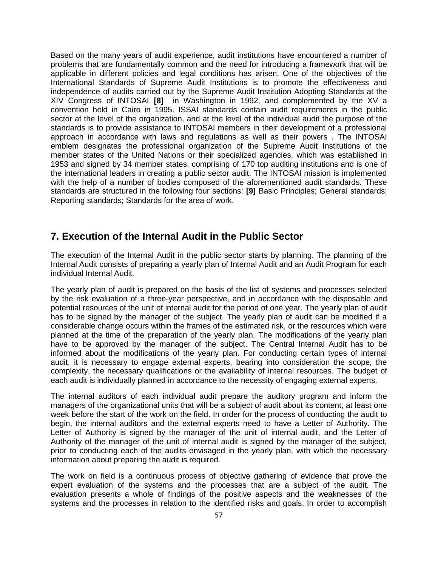Based on the many years of audit experience, audit institutions have encountered a number of problems that are fundamentally common and the need for introducing a framework that will be applicable in different policies and legal conditions has arisen. One of the objectives of the International Standards of Supreme Audit Institutions is to promote the effectiveness and independence of audits carried out by the Supreme Audit Institution Adopting Standards at the XIV Congress of INTOSAI **[8]** in Washington in 1992, and complemented by the XV a convention held in Cairo in 1995. ISSAI standards contain audit requirements in the public sector at the level of the organization, and at the level of the individual audit the purpose of the standards is to provide assistance to INTOSAI members in their development of a professional approach in accordance with laws and regulations as well as their powers . The INTOSAI emblem designates the professional organization of the Supreme Audit Institutions of the member states of the United Nations or their specialized agencies, which was established in 1953 and signed by 34 member states, comprising of 170 top auditing institutions and is one of the international leaders in creating a public sector audit. The INTOSAI mission is implemented with the help of a number of bodies composed of the aforementioned audit standards. These standards are structured in the following four sections: **[9]** Basic Principles; General standards; Reporting standards; Standards for the area of work.

#### **7. Execution of the Internal Audit in the Public Sector**

The execution of the Internal Audit in the public sector starts by planning. The planning of the Internal Audit consists of preparing a yearly plan of Internal Audit and an Audit Program for each individual Internal Audit.

The yearly plan of audit is prepared on the basis of the list of systems and processes selected by the risk evaluation of a three-year perspective, and in accordance with the disposable and potential resources of the unit of internal audit for the period of one year. The yearly plan of audit has to be signed by the manager of the subject. The yearly plan of audit can be modified if a considerable change occurs within the frames of the estimated risk, or the resources which were planned at the time of the preparation of the yearly plan. The modifications of the yearly plan have to be approved by the manager of the subject. The Central Internal Audit has to be informed about the modifications of the yearly plan. For conducting certain types of internal audit, it is necessary to engage external experts, bearing into consideration the scope, the complexity, the necessary qualifications or the availability of internal resources. The budget of each audit is individually planned in accordance to the necessity of engaging external experts.

The internal auditors of each individual audit prepare the auditory program and inform the managers of the organizational units that will be a subject of audit about its content, at least one week before the start of the work on the field. In order for the process of conducting the audit to begin, the internal auditors and the external experts need to have a Letter of Authority. The Letter of Authority is signed by the manager of the unit of internal audit, and the Letter of Authority of the manager of the unit of internal audit is signed by the manager of the subject, prior to conducting each of the audits envisaged in the yearly plan, with which the necessary information about preparing the audit is required.

The work on field is a continuous process of objective gathering of evidence that prove the expert evaluation of the systems and the processes that are a subject of the audit. The evaluation presents a whole of findings of the positive aspects and the weaknesses of the systems and the processes in relation to the identified risks and goals. In order to accomplish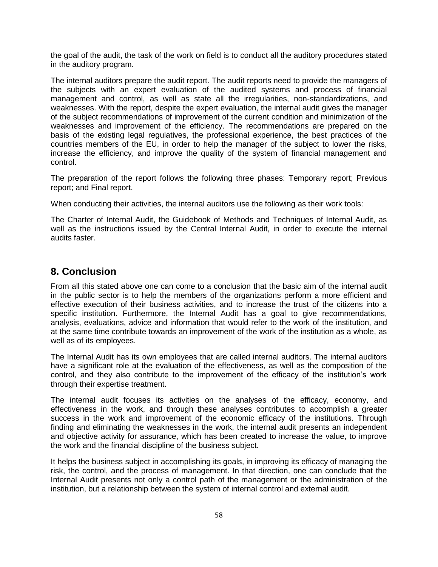the goal of the audit, the task of the work on field is to conduct all the auditory procedures stated in the auditory program.

The internal auditors prepare the audit report. The audit reports need to provide the managers of the subjects with an expert evaluation of the audited systems and process of financial management and control, as well as state all the irregularities, non-standardizations, and weaknesses. With the report, despite the expert evaluation, the internal audit gives the manager of the subject recommendations of improvement of the current condition and minimization of the weaknesses and improvement of the efficiency. The recommendations are prepared on the basis of the existing legal regulatives, the professional experience, the best practices of the countries members of the EU, in order to help the manager of the subject to lower the risks, increase the efficiency, and improve the quality of the system of financial management and control.

The preparation of the report follows the following three phases: Temporary report; Previous report; and Final report.

When conducting their activities, the internal auditors use the following as their work tools:

The Charter of Internal Audit, the Guidebook of Methods and Techniques of Internal Audit, as well as the instructions issued by the Central Internal Audit, in order to execute the internal audits faster.

### **8. Conclusion**

From all this stated above one can come to a conclusion that the basic aim of the internal audit in the public sector is to help the members of the organizations perform a more efficient and effective execution of their business activities, and to increase the trust of the citizens into a specific institution. Furthermore, the Internal Audit has a goal to give recommendations, analysis, evaluations, advice and information that would refer to the work of the institution, and at the same time contribute towards an improvement of the work of the institution as a whole, as well as of its employees.

The Internal Audit has its own employees that are called internal auditors. The internal auditors have a significant role at the evaluation of the effectiveness, as well as the composition of the control, and they also contribute to the improvement of the efficacy of the institution's work through their expertise treatment.

The internal audit focuses its activities on the analyses of the efficacy, economy, and effectiveness in the work, and through these analyses contributes to accomplish a greater success in the work and improvement of the economic efficacy of the institutions. Through finding and eliminating the weaknesses in the work, the internal audit presents an independent and objective activity for assurance, which has been created to increase the value, to improve the work and the financial discipline of the business subject.

It helps the business subject in accomplishing its goals, in improving its efficacy of managing the risk, the control, and the process of management. In that direction, one can conclude that the Internal Audit presents not only a control path of the management or the administration of the institution, but a relationship between the system of internal control and external audit.